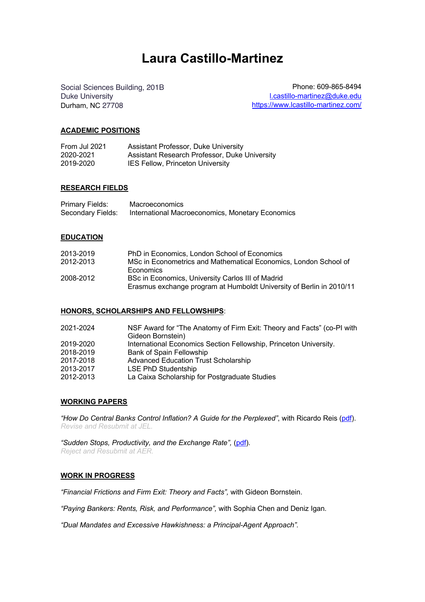# **Laura Castillo-Martinez**

Social Sciences Building, 201B extended by the Phone: 609-865-8494 Duke University and the contract of the contract of the local state of the local department of the local development of the local department of the local development of the local development of the local development of the Durham, NC 27708 https://www.lcastillo-martinez.com/

## **ACADEMIC POSITIONS**

| From Jul 2021 | Assistant Professor, Duke University          |
|---------------|-----------------------------------------------|
| 2020-2021     | Assistant Research Professor, Duke University |
| 2019-2020     | <b>IES Fellow, Princeton University</b>       |

## **RESEARCH FIELDS**

| Primary Fields:   | <b>Macroeconomics</b>                            |
|-------------------|--------------------------------------------------|
| Secondary Fields: | International Macroeconomics, Monetary Economics |

## **EDUCATION**

| 2013-2019 | PhD in Economics, London School of Economics                         |
|-----------|----------------------------------------------------------------------|
| 2012-2013 | MSc in Econometrics and Mathematical Economics. London School of     |
|           | <b>Economics</b>                                                     |
| 2008-2012 | BSc in Economics, University Carlos III of Madrid                    |
|           | Erasmus exchange program at Humboldt University of Berlin in 2010/11 |

## **HONORS, SCHOLARSHIPS AND FELLOWSHIPS**:

| 2021-2024 | NSF Award for "The Anatomy of Firm Exit: Theory and Facts" (co-PI with |
|-----------|------------------------------------------------------------------------|
|           | Gideon Bornstein)                                                      |
| 2019-2020 | International Economics Section Fellowship, Princeton University.      |
| 2018-2019 | Bank of Spain Fellowship                                               |
| 2017-2018 | <b>Advanced Education Trust Scholarship</b>                            |
| 2013-2017 | LSE PhD Studentship                                                    |
| 2012-2013 | La Caixa Scholarship for Postgraduate Studies                          |

## **WORKING PAPERS**

*"How Do Central Banks Control Inflation? A Guide for the Perplexed"*, with Ricardo Reis (pdf). *Revise and Resubmit at JEL.*

*"Sudden Stops, Productivity, and the Exchange Rate",* (pdf). *Reject and Resubmit at AER.* 

## **WORK IN PROGRESS**

*"Financial Frictions and Firm Exit: Theory and Facts",* with Gideon Bornstein.

*"Paying Bankers: Rents, Risk, and Performance",* with Sophia Chen and Deniz Igan.

*"Dual Mandates and Excessive Hawkishness: a Principal-Agent Approach".*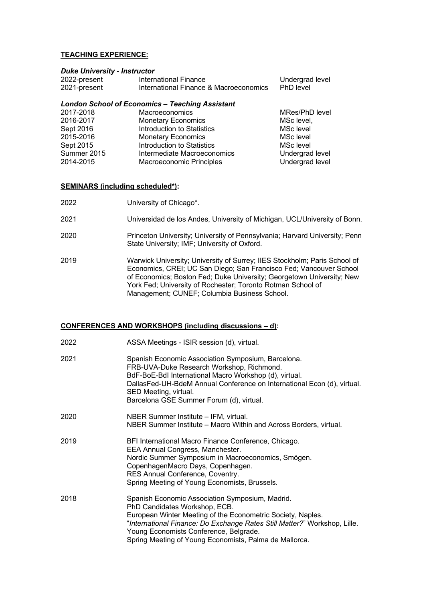## **TEACHING EXPERIENCE:**

#### *Duke University - Instructor*

| 2022-present | International Finance                  | Undergrad level |
|--------------|----------------------------------------|-----------------|
| 2021-present | International Finance & Macroeconomics | PhD level       |

## *London School of Economics – Teaching Assistant*

| 2017-2018   | <b>Macroeconomics</b>             | MRes/PhD level  |
|-------------|-----------------------------------|-----------------|
| 2016-2017   | <b>Monetary Economics</b>         | MSc level,      |
| Sept 2016   | <b>Introduction to Statistics</b> | MSc level       |
| 2015-2016   | <b>Monetary Economics</b>         | MSc level       |
| Sept 2015   | <b>Introduction to Statistics</b> | MSc level       |
| Summer 2015 | Intermediate Macroeconomics       | Undergrad level |
| 2014-2015   | <b>Macroeconomic Principles</b>   | Undergrad level |

## **SEMINARS (including scheduled\*):**

- 2022 University of Chicago\*.
- 2021 Universidad de los Andes, University of Michigan, UCL/University of Bonn.
- 2020 Princeton University; University of Pennsylvania; Harvard University; Penn State University; IMF; University of Oxford.
- 2019 Warwick University; University of Surrey; IIES Stockholm; Paris School of Economics, CREI; UC San Diego; San Francisco Fed; Vancouver School of Economics; Boston Fed; Duke University; Georgetown University; New York Fed; University of Rochester; Toronto Rotman School of Management; CUNEF; Columbia Business School.

## **CONFERENCES AND WORKSHOPS (including discussions – d):**

| 2022 | ASSA Meetings - ISIR session (d), virtual.                                                                                                                                                                                                                                                                                       |
|------|----------------------------------------------------------------------------------------------------------------------------------------------------------------------------------------------------------------------------------------------------------------------------------------------------------------------------------|
| 2021 | Spanish Economic Association Symposium, Barcelona.<br>FRB-UVA-Duke Research Workshop, Richmond.<br>BdF-BoE-BdI International Macro Workshop (d), virtual.<br>DallasFed-UH-BdeM Annual Conference on International Econ (d), virtual.<br>SED Meeting, virtual.<br>Barcelona GSE Summer Forum (d), virtual.                        |
| 2020 | NBER Summer Institute - IFM, virtual.<br>NBER Summer Institute - Macro Within and Across Borders, virtual.                                                                                                                                                                                                                       |
| 2019 | BFI International Macro Finance Conference, Chicago.<br>EEA Annual Congress, Manchester.<br>Nordic Summer Symposium in Macroeconomics, Smögen.<br>CopenhagenMacro Days, Copenhagen.<br>RES Annual Conference, Coventry.<br>Spring Meeting of Young Economists, Brussels.                                                         |
| 2018 | Spanish Economic Association Symposium, Madrid.<br>PhD Candidates Workshop, ECB.<br>European Winter Meeting of the Econometric Society, Naples.<br>"International Finance: Do Exchange Rates Still Matter?" Workshop, Lille.<br>Young Economists Conference, Belgrade.<br>Spring Meeting of Young Economists, Palma de Mallorca. |